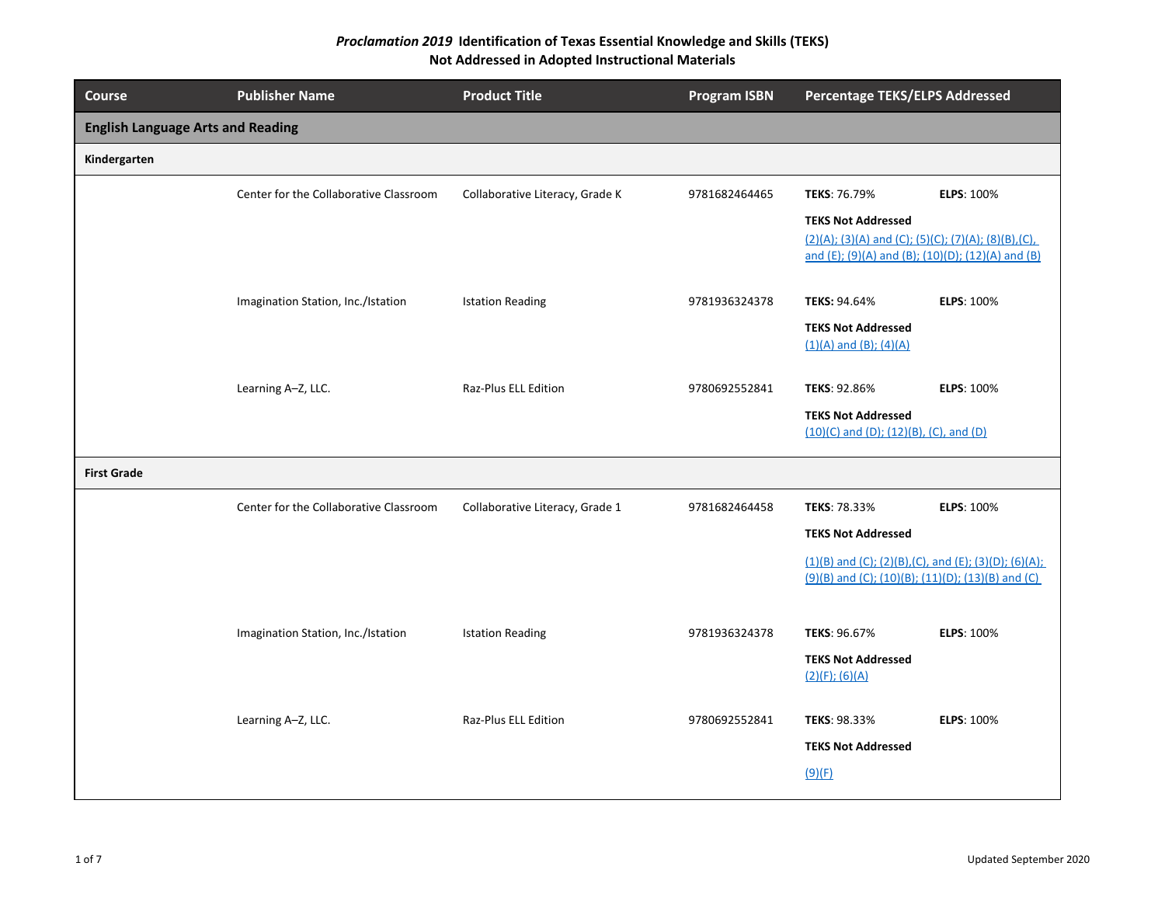| <b>Course</b>                            | <b>Publisher Name</b>                  | <b>Product Title</b>            | <b>Program ISBN</b> | <b>Percentage TEKS/ELPS Addressed</b>                                                                                                 |                   |
|------------------------------------------|----------------------------------------|---------------------------------|---------------------|---------------------------------------------------------------------------------------------------------------------------------------|-------------------|
| <b>English Language Arts and Reading</b> |                                        |                                 |                     |                                                                                                                                       |                   |
| Kindergarten                             |                                        |                                 |                     |                                                                                                                                       |                   |
|                                          | Center for the Collaborative Classroom | Collaborative Literacy, Grade K | 9781682464465       | TEKS: 76.79%                                                                                                                          | <b>ELPS: 100%</b> |
|                                          |                                        |                                 |                     | <b>TEKS Not Addressed</b><br>(2)(A); (3)(A) and (C); (5)(C); (7)(A); (8)(B),(C),<br>and (E); (9)(A) and (B); (10)(D); (12)(A) and (B) |                   |
|                                          | Imagination Station, Inc./Istation     | <b>Istation Reading</b>         | 9781936324378       | <b>TEKS: 94.64%</b>                                                                                                                   | <b>ELPS: 100%</b> |
|                                          |                                        |                                 |                     | <b>TEKS Not Addressed</b><br>$(1)(A)$ and $(B)$ ; $(4)(A)$                                                                            |                   |
|                                          | Learning A-Z, LLC.                     | Raz-Plus ELL Edition            | 9780692552841       | TEKS: 92.86%                                                                                                                          | <b>ELPS: 100%</b> |
|                                          |                                        |                                 |                     | <b>TEKS Not Addressed</b><br>$(10)(C)$ and $(D)$ ; $(12)(B)$ , $(C)$ , and $(D)$                                                      |                   |
| <b>First Grade</b>                       |                                        |                                 |                     |                                                                                                                                       |                   |
|                                          | Center for the Collaborative Classroom | Collaborative Literacy, Grade 1 | 9781682464458       | TEKS: 78.33%                                                                                                                          | <b>ELPS: 100%</b> |
|                                          |                                        |                                 |                     | <b>TEKS Not Addressed</b>                                                                                                             |                   |
|                                          |                                        |                                 |                     | $(1)(B)$ and (C); (2)(B),(C), and (E); (3)(D); (6)(A);<br>(9)(B) and (C); (10)(B); (11)(D); (13)(B) and (C)                           |                   |
|                                          | Imagination Station, Inc./Istation     | <b>Istation Reading</b>         | 9781936324378       | TEKS: 96.67%                                                                                                                          | <b>ELPS: 100%</b> |
|                                          |                                        |                                 |                     | <b>TEKS Not Addressed</b><br>$(2)(F)$ ; $(6)(A)$                                                                                      |                   |
|                                          | Learning A-Z, LLC.                     | Raz-Plus ELL Edition            | 9780692552841       | TEKS: 98.33%                                                                                                                          | <b>ELPS: 100%</b> |
|                                          |                                        |                                 |                     | <b>TEKS Not Addressed</b>                                                                                                             |                   |
|                                          |                                        |                                 |                     | (9)(F)                                                                                                                                |                   |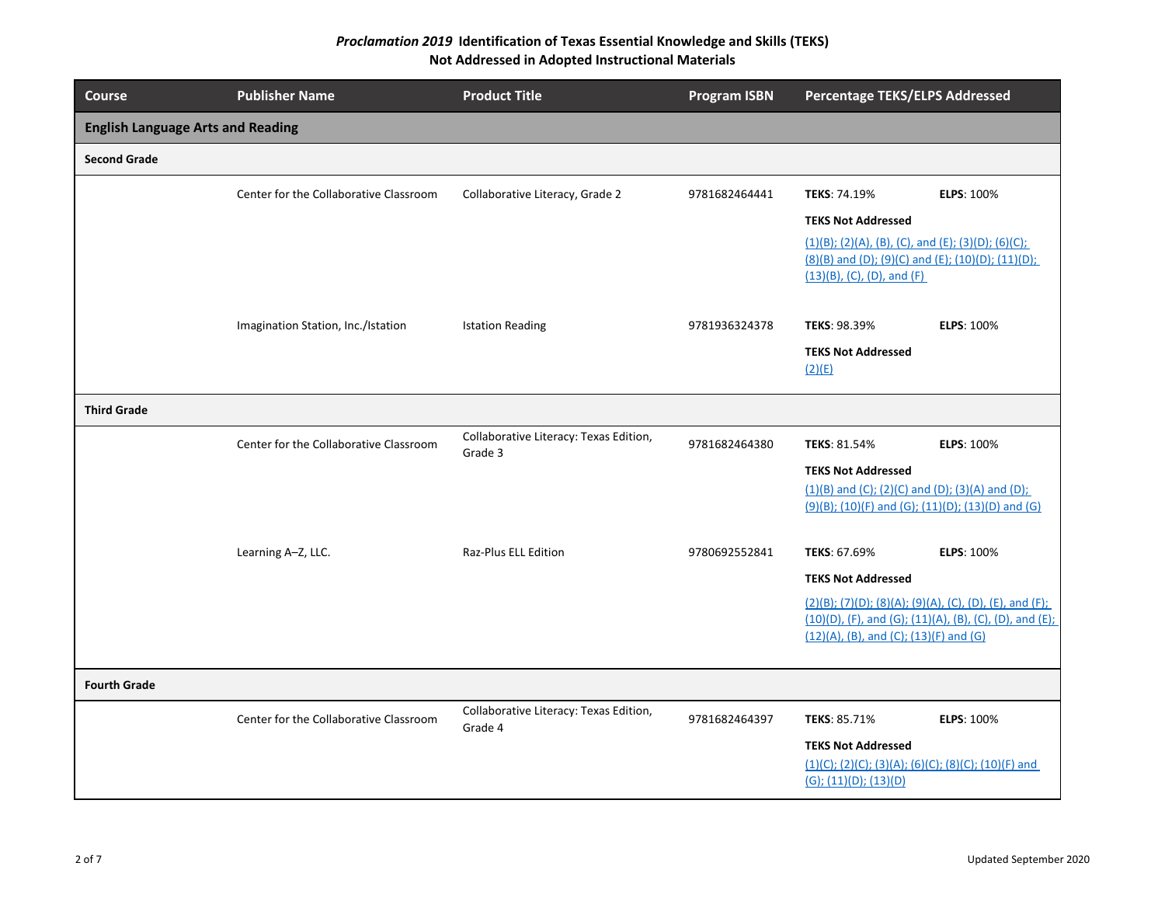| <b>Course</b>                            | <b>Publisher Name</b>                  | <b>Product Title</b>                              | <b>Program ISBN</b> | <b>Percentage TEKS/ELPS Addressed</b>                                          |                                                            |
|------------------------------------------|----------------------------------------|---------------------------------------------------|---------------------|--------------------------------------------------------------------------------|------------------------------------------------------------|
| <b>English Language Arts and Reading</b> |                                        |                                                   |                     |                                                                                |                                                            |
| <b>Second Grade</b>                      |                                        |                                                   |                     |                                                                                |                                                            |
|                                          | Center for the Collaborative Classroom | Collaborative Literacy, Grade 2                   | 9781682464441       | TEKS: 74.19%                                                                   | ELPS: 100%                                                 |
|                                          |                                        |                                                   |                     | <b>TEKS Not Addressed</b>                                                      |                                                            |
|                                          |                                        |                                                   |                     | $(1)(B)$ ; (2)(A), (B), (C), and (E); (3)(D); (6)(C);                          |                                                            |
|                                          |                                        |                                                   |                     | (8)(B) and (D); (9)(C) and (E); (10)(D); (11)(D);                              |                                                            |
|                                          |                                        |                                                   |                     | $(13)(B)$ , (C), (D), and (F)                                                  |                                                            |
|                                          | Imagination Station, Inc./Istation     | <b>Istation Reading</b>                           | 9781936324378       | TEKS: 98.39%                                                                   | <b>ELPS: 100%</b>                                          |
|                                          |                                        |                                                   |                     | <b>TEKS Not Addressed</b><br>(2)(E)                                            |                                                            |
| <b>Third Grade</b>                       |                                        |                                                   |                     |                                                                                |                                                            |
|                                          | Center for the Collaborative Classroom | Collaborative Literacy: Texas Edition,<br>Grade 3 | 9781682464380       | TEKS: 81.54%                                                                   | <b>ELPS: 100%</b>                                          |
|                                          |                                        |                                                   |                     | <b>TEKS Not Addressed</b>                                                      |                                                            |
|                                          |                                        |                                                   |                     | $(1)(B)$ and (C); (2)(C) and (D); (3)(A) and (D);                              |                                                            |
|                                          |                                        |                                                   |                     | $(9)(B)$ ; (10)(F) and (G); (11)(D); (13)(D) and (G)                           |                                                            |
|                                          | Learning A-Z, LLC.                     | <b>Raz-Plus ELL Edition</b>                       | 9780692552841       | TEKS: 67.69%                                                                   | <b>ELPS: 100%</b>                                          |
|                                          |                                        |                                                   |                     | <b>TEKS Not Addressed</b>                                                      |                                                            |
|                                          |                                        |                                                   |                     |                                                                                | $(2)(B)$ ; (7)(D); (8)(A); (9)(A), (C), (D), (E), and (F); |
|                                          |                                        |                                                   |                     |                                                                                | (10)(D), (F), and (G); (11)(A), (B), (C), (D), and (E);    |
|                                          |                                        |                                                   |                     | $(12)(A)$ , (B), and (C); (13)(F) and (G)                                      |                                                            |
| <b>Fourth Grade</b>                      |                                        |                                                   |                     |                                                                                |                                                            |
|                                          | Center for the Collaborative Classroom | Collaborative Literacy: Texas Edition,<br>Grade 4 | 9781682464397       | TEKS: 85.71%                                                                   | <b>ELPS: 100%</b>                                          |
|                                          |                                        |                                                   |                     | <b>TEKS Not Addressed</b>                                                      |                                                            |
|                                          |                                        |                                                   |                     | $(1)(C); (2)(C); (3)(A); (6)(C); (8)(C); (10)(F)$ and<br>(G); (11)(D); (13)(D) |                                                            |
|                                          |                                        |                                                   |                     |                                                                                |                                                            |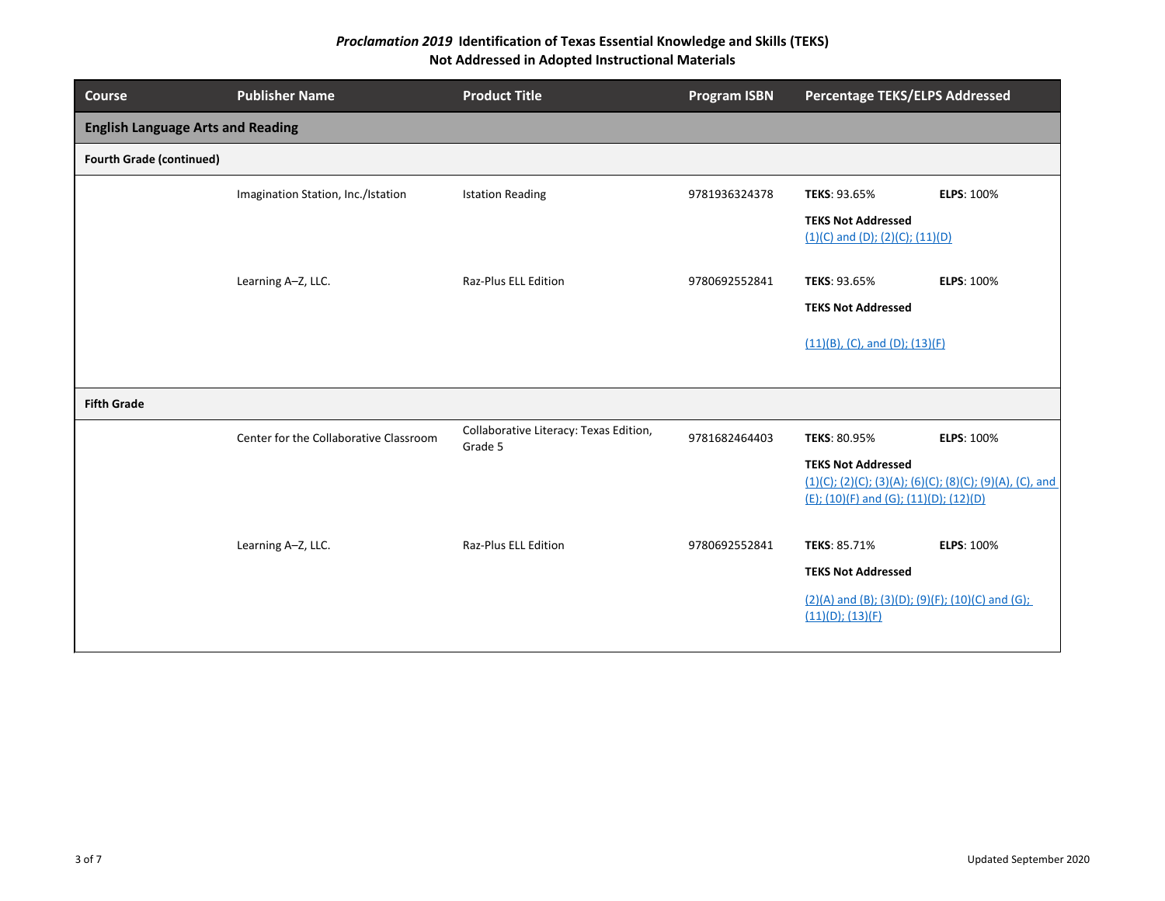| <b>Course</b>                            | <b>Publisher Name</b>                  | <b>Product Title</b>                              | <b>Program ISBN</b> | <b>Percentage TEKS/ELPS Addressed</b>                                  |                                                          |
|------------------------------------------|----------------------------------------|---------------------------------------------------|---------------------|------------------------------------------------------------------------|----------------------------------------------------------|
| <b>English Language Arts and Reading</b> |                                        |                                                   |                     |                                                                        |                                                          |
| <b>Fourth Grade (continued)</b>          |                                        |                                                   |                     |                                                                        |                                                          |
|                                          | Imagination Station, Inc./Istation     | <b>Istation Reading</b>                           | 9781936324378       | TEKS: 93.65%                                                           | <b>ELPS: 100%</b>                                        |
|                                          |                                        |                                                   |                     | <b>TEKS Not Addressed</b><br>$(1)(C)$ and $(D)$ ; $(2)(C)$ ; $(11)(D)$ |                                                          |
|                                          | Learning A-Z, LLC.                     | Raz-Plus ELL Edition                              | 9780692552841       | TEKS: 93.65%                                                           | ELPS: 100%                                               |
|                                          |                                        |                                                   |                     | <b>TEKS Not Addressed</b>                                              |                                                          |
|                                          |                                        |                                                   |                     | $(11)(B)$ , (C), and (D); (13)(F)                                      |                                                          |
|                                          |                                        |                                                   |                     |                                                                        |                                                          |
| <b>Fifth Grade</b>                       |                                        |                                                   |                     |                                                                        |                                                          |
|                                          | Center for the Collaborative Classroom | Collaborative Literacy: Texas Edition,<br>Grade 5 | 9781682464403       | TEKS: 80.95%                                                           | <b>ELPS: 100%</b>                                        |
|                                          |                                        |                                                   |                     | <b>TEKS Not Addressed</b><br>(E); (10)(F) and (G); (11)(D); (12)(D)    | (1)(C); (2)(C); (3)(A); (6)(C); (8)(C); (9)(A), (C), and |
|                                          | Learning A-Z, LLC.                     | Raz-Plus ELL Edition                              | 9780692552841       | TEKS: 85.71%                                                           | ELPS: 100%                                               |
|                                          |                                        |                                                   |                     | <b>TEKS Not Addressed</b>                                              |                                                          |
|                                          |                                        |                                                   |                     | (2)(A) and (B); (3)(D); (9)(F); (10)(C) and (G);<br>(11)(D); (13)(F)   |                                                          |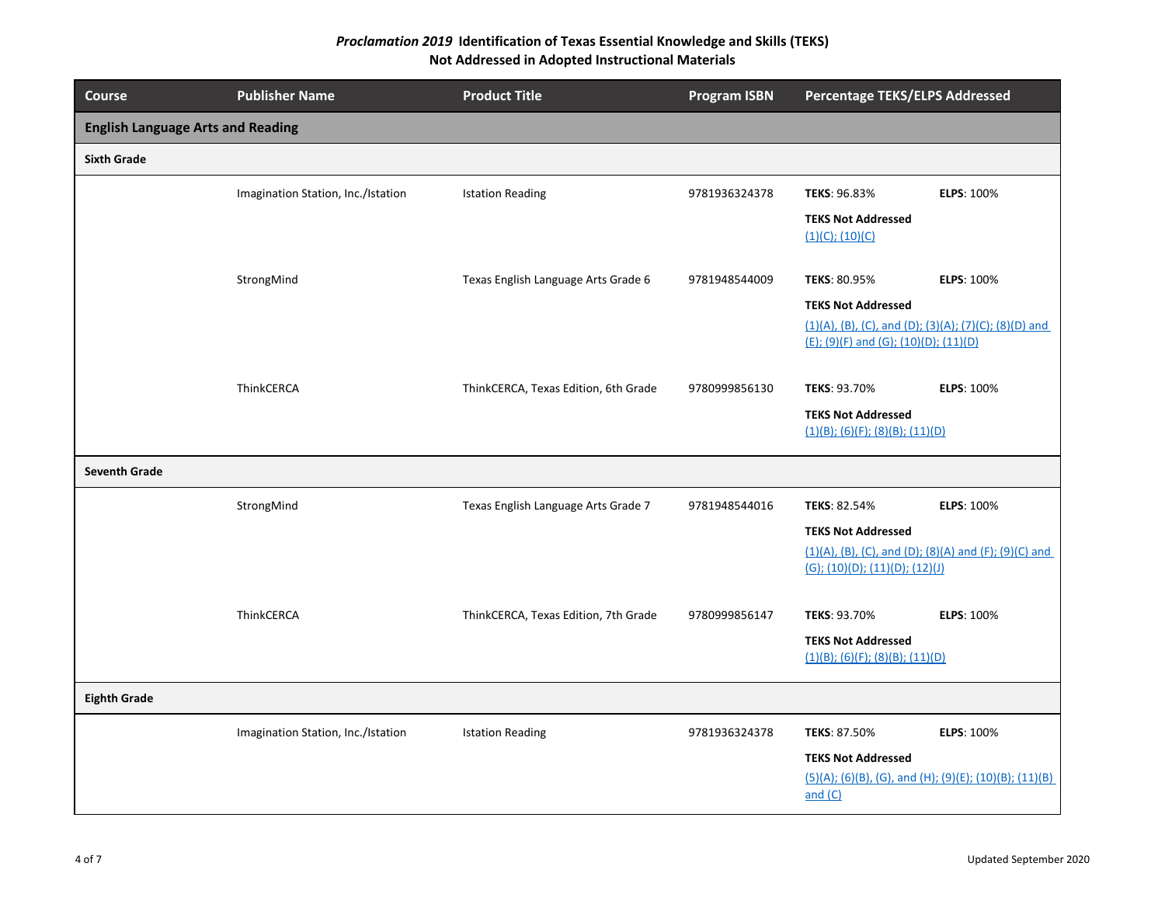| <b>Course</b>                            | <b>Publisher Name</b>              | <b>Product Title</b>                 | <b>Program ISBN</b> | <b>Percentage TEKS/ELPS Addressed</b>                                                             |  |
|------------------------------------------|------------------------------------|--------------------------------------|---------------------|---------------------------------------------------------------------------------------------------|--|
| <b>English Language Arts and Reading</b> |                                    |                                      |                     |                                                                                                   |  |
| <b>Sixth Grade</b>                       |                                    |                                      |                     |                                                                                                   |  |
|                                          | Imagination Station, Inc./Istation | <b>Istation Reading</b>              | 9781936324378       | TEKS: 96.83%<br><b>ELPS: 100%</b>                                                                 |  |
|                                          |                                    |                                      |                     | <b>TEKS Not Addressed</b><br>$(1)(C)$ ; $(10)(C)$                                                 |  |
|                                          | StrongMind                         | Texas English Language Arts Grade 6  | 9781948544009       | <b>ELPS: 100%</b><br><b>TEKS: 80.95%</b>                                                          |  |
|                                          |                                    |                                      |                     | <b>TEKS Not Addressed</b>                                                                         |  |
|                                          |                                    |                                      |                     | $(1)(A)$ , (B), (C), and (D); (3)(A); (7)(C); (8)(D) and<br>(E); (9)(F) and (G); (10)(D); (11)(D) |  |
|                                          | ThinkCERCA                         | ThinkCERCA, Texas Edition, 6th Grade | 9780999856130       | TEKS: 93.70%<br><b>ELPS: 100%</b>                                                                 |  |
|                                          |                                    |                                      |                     | <b>TEKS Not Addressed</b><br>$(1)(B)$ ; (6)(F); (8)(B); (11)(D)                                   |  |
| <b>Seventh Grade</b>                     |                                    |                                      |                     |                                                                                                   |  |
|                                          | StrongMind                         | Texas English Language Arts Grade 7  | 9781948544016       | <b>ELPS: 100%</b><br><b>TEKS: 82.54%</b>                                                          |  |
|                                          |                                    |                                      |                     | <b>TEKS Not Addressed</b>                                                                         |  |
|                                          |                                    |                                      |                     | $(1)(A)$ , (B), (C), and (D); (8)(A) and (F); (9)(C) and<br>(G); (10)(D); (11)(D); (12)(J)        |  |
|                                          | ThinkCERCA                         | ThinkCERCA, Texas Edition, 7th Grade | 9780999856147       | TEKS: 93.70%<br><b>ELPS: 100%</b>                                                                 |  |
|                                          |                                    |                                      |                     | <b>TEKS Not Addressed</b><br>(1)(B); (6)(F); (8)(B); (11)(D)                                      |  |
| <b>Eighth Grade</b>                      |                                    |                                      |                     |                                                                                                   |  |
|                                          | Imagination Station, Inc./Istation | <b>Istation Reading</b>              | 9781936324378       | TEKS: 87.50%<br><b>ELPS: 100%</b>                                                                 |  |
|                                          |                                    |                                      |                     | <b>TEKS Not Addressed</b>                                                                         |  |
|                                          |                                    |                                      |                     | (5)(A); (6)(B), (G), and (H); (9)(E); (10)(B); (11)(B)<br>and (C)                                 |  |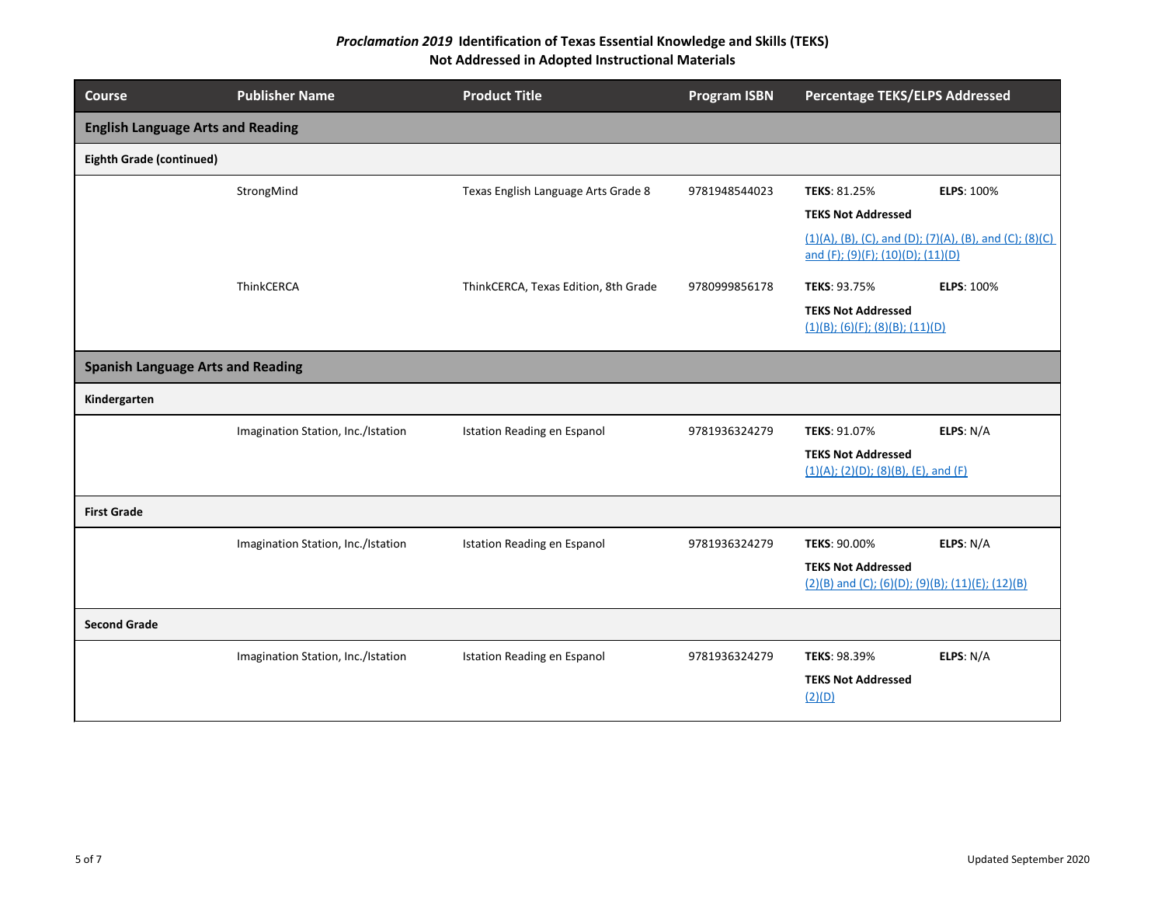| <b>Course</b>                            | <b>Publisher Name</b>              | <b>Product Title</b>                 | <b>Program ISBN</b> | <b>Percentage TEKS/ELPS Addressed</b>                                                                             |
|------------------------------------------|------------------------------------|--------------------------------------|---------------------|-------------------------------------------------------------------------------------------------------------------|
| <b>English Language Arts and Reading</b> |                                    |                                      |                     |                                                                                                                   |
| <b>Eighth Grade (continued)</b>          |                                    |                                      |                     |                                                                                                                   |
|                                          | StrongMind                         | Texas English Language Arts Grade 8  | 9781948544023       | TEKS: 81.25%<br><b>ELPS: 100%</b><br><b>TEKS Not Addressed</b>                                                    |
|                                          |                                    |                                      |                     | $(1)(A)$ , (B), (C), and (D); (7)(A), (B), and (C); (8)(C)<br>and (F); (9)(F); (10)(D); (11)(D)                   |
|                                          | ThinkCERCA                         | ThinkCERCA, Texas Edition, 8th Grade | 9780999856178       | <b>ELPS: 100%</b><br>TEKS: 93.75%<br><b>TEKS Not Addressed</b><br>$(1)(B)$ ; (6)(F); (8)(B); (11)(D)              |
| <b>Spanish Language Arts and Reading</b> |                                    |                                      |                     |                                                                                                                   |
| Kindergarten                             |                                    |                                      |                     |                                                                                                                   |
|                                          | Imagination Station, Inc./Istation | Istation Reading en Espanol          | 9781936324279       | ELPS: N/A<br>TEKS: 91.07%<br><b>TEKS Not Addressed</b><br>(1)(A); (2)(D); (8)(B), (E), and (F)                    |
| <b>First Grade</b>                       |                                    |                                      |                     |                                                                                                                   |
|                                          | Imagination Station, Inc./Istation | Istation Reading en Espanol          | 9781936324279       | <b>TEKS: 90.00%</b><br>ELPS: N/A<br><b>TEKS Not Addressed</b><br>(2)(B) and (C); (6)(D); (9)(B); (11)(E); (12)(B) |
| <b>Second Grade</b>                      |                                    |                                      |                     |                                                                                                                   |
|                                          | Imagination Station, Inc./Istation | Istation Reading en Espanol          | 9781936324279       | ELPS: N/A<br>TEKS: 98.39%<br><b>TEKS Not Addressed</b><br>(2)(D)                                                  |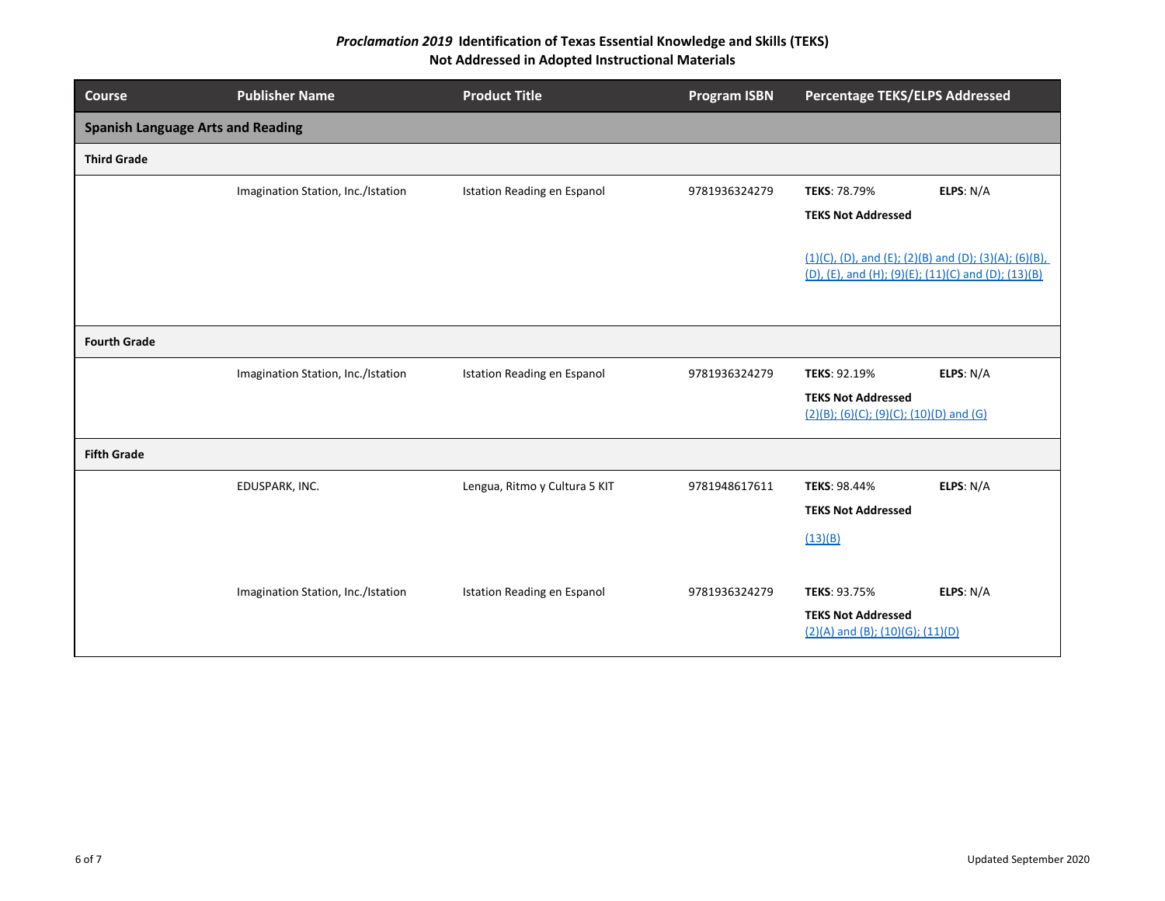| <b>Course</b>                            | <b>Publisher Name</b>              | <b>Product Title</b>               | <b>Program ISBN</b> | <b>Percentage TEKS/ELPS Addressed</b>                                                                           |  |
|------------------------------------------|------------------------------------|------------------------------------|---------------------|-----------------------------------------------------------------------------------------------------------------|--|
| <b>Spanish Language Arts and Reading</b> |                                    |                                    |                     |                                                                                                                 |  |
| <b>Third Grade</b>                       |                                    |                                    |                     |                                                                                                                 |  |
|                                          | Imagination Station, Inc./Istation | <b>Istation Reading en Espanol</b> | 9781936324279       | ELPS: N/A<br>TEKS: 78.79%                                                                                       |  |
|                                          |                                    |                                    |                     | <b>TEKS Not Addressed</b>                                                                                       |  |
|                                          |                                    |                                    |                     | $(1)(C)$ , (D), and (E); (2)(B) and (D); (3)(A); (6)(B),<br>(D), (E), and (H); (9)(E); (11)(C) and (D); (13)(B) |  |
| <b>Fourth Grade</b>                      |                                    |                                    |                     |                                                                                                                 |  |
|                                          | Imagination Station, Inc./Istation | Istation Reading en Espanol        | 9781936324279       | TEKS: 92.19%<br>ELPS: N/A                                                                                       |  |
|                                          |                                    |                                    |                     | <b>TEKS Not Addressed</b><br>(2)(B); (6)(C); (9)(C); (10)(D) and (G)                                            |  |
| <b>Fifth Grade</b>                       |                                    |                                    |                     |                                                                                                                 |  |
|                                          | EDUSPARK, INC.                     | Lengua, Ritmo y Cultura 5 KIT      | 9781948617611       | TEKS: 98.44%<br>ELPS: N/A                                                                                       |  |
|                                          |                                    |                                    |                     | <b>TEKS Not Addressed</b>                                                                                       |  |
|                                          |                                    |                                    |                     | (13)(B)                                                                                                         |  |
|                                          | Imagination Station, Inc./Istation | Istation Reading en Espanol        | 9781936324279       | ELPS: N/A<br>TEKS: 93.75%                                                                                       |  |
|                                          |                                    |                                    |                     | <b>TEKS Not Addressed</b><br>$(2)(A)$ and (B); (10)(G); (11)(D)                                                 |  |